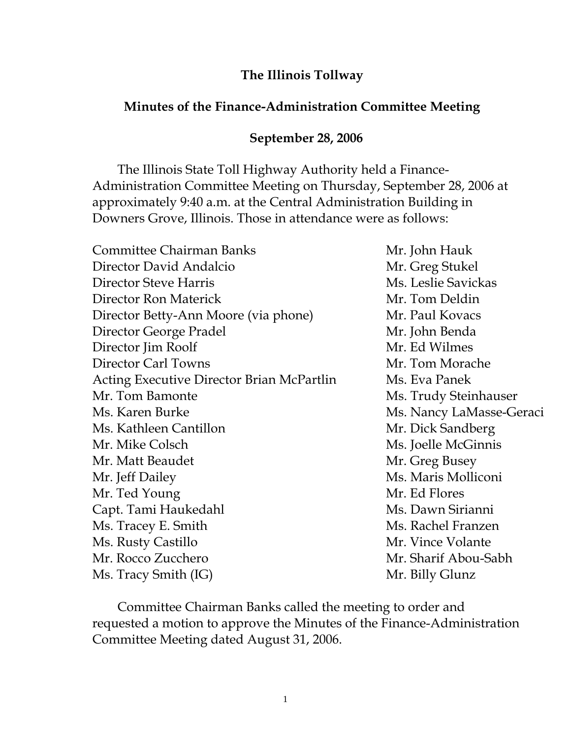## **The Illinois Tollway**

## **Minutes of the Finance-Administration Committee Meeting**

## **September 28, 2006**

 The Illinois State Toll Highway Authority held a Finance-Administration Committee Meeting on Thursday, September 28, 2006 at approximately 9:40 a.m. at the Central Administration Building in Downers Grove, Illinois. Those in attendance were as follows:

| Mr. John Hauk            |
|--------------------------|
| Mr. Greg Stukel          |
| Ms. Leslie Savickas      |
| Mr. Tom Deldin           |
| Mr. Paul Kovacs          |
| Mr. John Benda           |
| Mr. Ed Wilmes            |
| Mr. Tom Morache          |
| Ms. Eva Panek            |
| Ms. Trudy Steinhauser    |
| Ms. Nancy LaMasse-Geraci |
| Mr. Dick Sandberg        |
| Ms. Joelle McGinnis      |
| Mr. Greg Busey           |
| Ms. Maris Molliconi      |
| Mr. Ed Flores            |
| Ms. Dawn Sirianni        |
| Ms. Rachel Franzen       |
| Mr. Vince Volante        |
| Mr. Sharif Abou-Sabh     |
| Mr. Billy Glunz          |
|                          |

Committee Chairman Banks called the meeting to order and requested a motion to approve the Minutes of the Finance-Administration Committee Meeting dated August 31, 2006.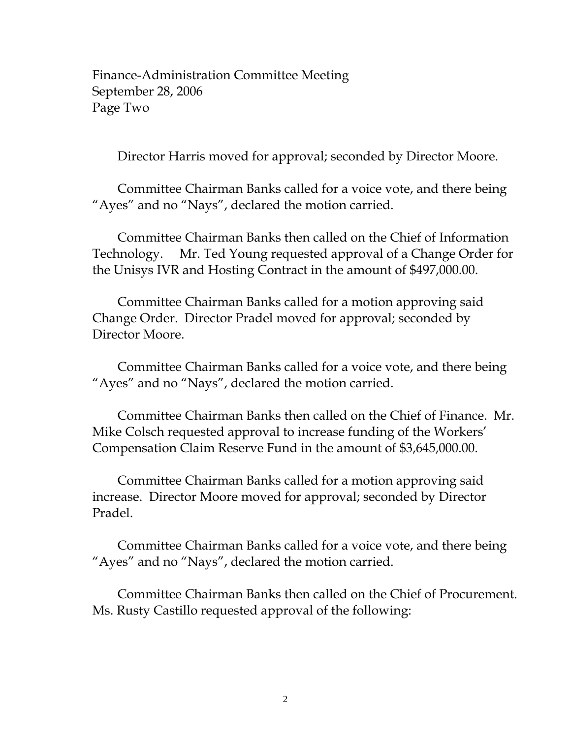Finance-Administration Committee Meeting September 28, 2006 Page Two

Director Harris moved for approval; seconded by Director Moore.

Committee Chairman Banks called for a voice vote, and there being "Ayes" and no "Nays", declared the motion carried.

Committee Chairman Banks then called on the Chief of Information Technology. Mr. Ted Young requested approval of a Change Order for the Unisys IVR and Hosting Contract in the amount of \$497,000.00.

Committee Chairman Banks called for a motion approving said Change Order. Director Pradel moved for approval; seconded by Director Moore.

Committee Chairman Banks called for a voice vote, and there being "Ayes" and no "Nays", declared the motion carried.

Committee Chairman Banks then called on the Chief of Finance. Mr. Mike Colsch requested approval to increase funding of the Workers' Compensation Claim Reserve Fund in the amount of \$3,645,000.00.

Committee Chairman Banks called for a motion approving said increase. Director Moore moved for approval; seconded by Director Pradel.

Committee Chairman Banks called for a voice vote, and there being "Ayes" and no "Nays", declared the motion carried.

Committee Chairman Banks then called on the Chief of Procurement. Ms. Rusty Castillo requested approval of the following: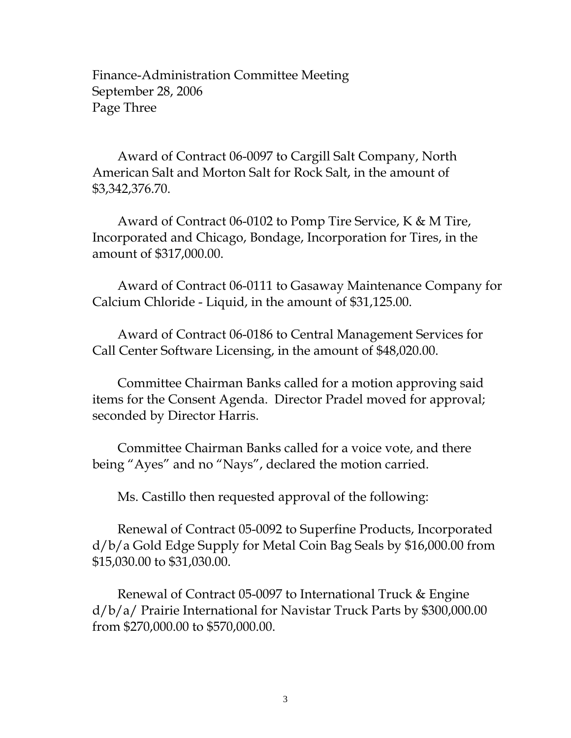Finance-Administration Committee Meeting September 28, 2006 Page Three

 Award of Contract 06-0097 to Cargill Salt Company, North American Salt and Morton Salt for Rock Salt, in the amount of \$3,342,376.70.

 Award of Contract 06-0102 to Pomp Tire Service, K & M Tire, Incorporated and Chicago, Bondage, Incorporation for Tires, in the amount of \$317,000.00.

 Award of Contract 06-0111 to Gasaway Maintenance Company for Calcium Chloride - Liquid, in the amount of \$31,125.00.

 Award of Contract 06-0186 to Central Management Services for Call Center Software Licensing, in the amount of \$48,020.00.

 Committee Chairman Banks called for a motion approving said items for the Consent Agenda. Director Pradel moved for approval; seconded by Director Harris.

 Committee Chairman Banks called for a voice vote, and there being "Ayes" and no "Nays", declared the motion carried.

Ms. Castillo then requested approval of the following:

 Renewal of Contract 05-0092 to Superfine Products, Incorporated d/b/a Gold Edge Supply for Metal Coin Bag Seals by \$16,000.00 from \$15,030.00 to \$31,030.00.

 Renewal of Contract 05-0097 to International Truck & Engine d/b/a/ Prairie International for Navistar Truck Parts by \$300,000.00 from \$270,000.00 to \$570,000.00.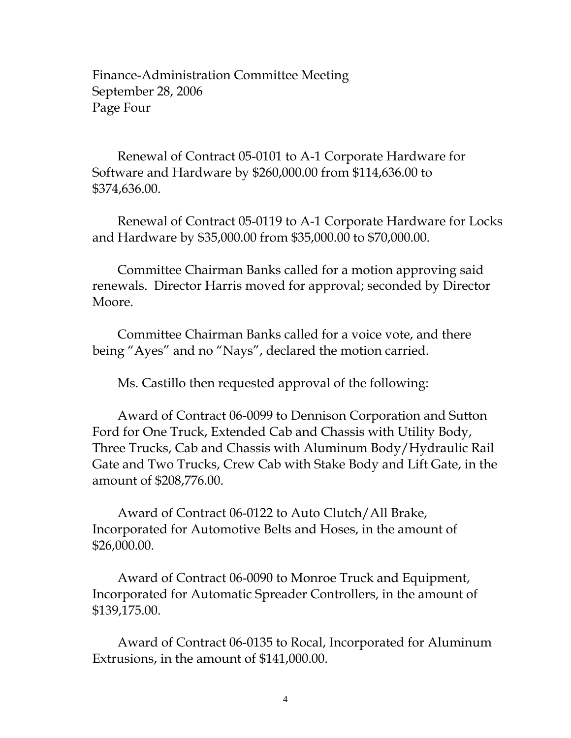Finance-Administration Committee Meeting September 28, 2006 Page Four

 Renewal of Contract 05-0101 to A-1 Corporate Hardware for Software and Hardware by \$260,000.00 from \$114,636.00 to \$374,636.00.

 Renewal of Contract 05-0119 to A-1 Corporate Hardware for Locks and Hardware by \$35,000.00 from \$35,000.00 to \$70,000.00.

 Committee Chairman Banks called for a motion approving said renewals. Director Harris moved for approval; seconded by Director Moore.

 Committee Chairman Banks called for a voice vote, and there being "Ayes" and no "Nays", declared the motion carried.

Ms. Castillo then requested approval of the following:

 Award of Contract 06-0099 to Dennison Corporation and Sutton Ford for One Truck, Extended Cab and Chassis with Utility Body, Three Trucks, Cab and Chassis with Aluminum Body/Hydraulic Rail Gate and Two Trucks, Crew Cab with Stake Body and Lift Gate, in the amount of \$208,776.00.

 Award of Contract 06-0122 to Auto Clutch/All Brake, Incorporated for Automotive Belts and Hoses, in the amount of \$26,000.00.

 Award of Contract 06-0090 to Monroe Truck and Equipment, Incorporated for Automatic Spreader Controllers, in the amount of \$139,175.00.

 Award of Contract 06-0135 to Rocal, Incorporated for Aluminum Extrusions, in the amount of \$141,000.00.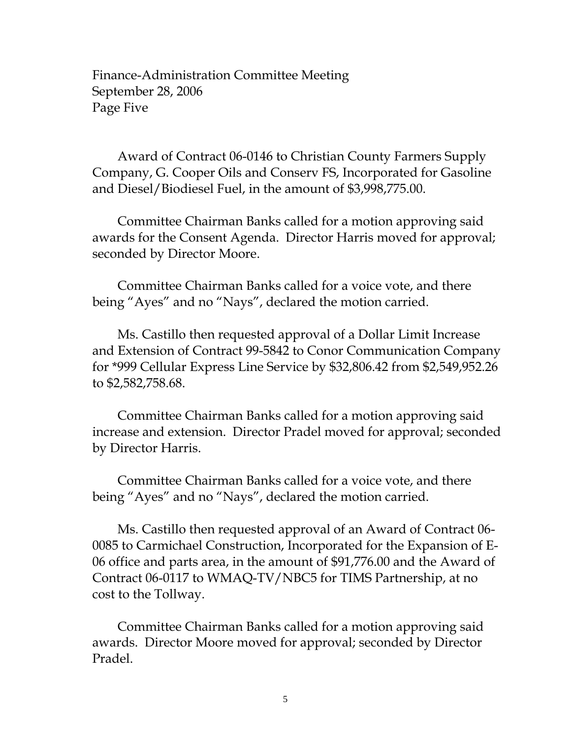Finance-Administration Committee Meeting September 28, 2006 Page Five

 Award of Contract 06-0146 to Christian County Farmers Supply Company, G. Cooper Oils and Conserv FS, Incorporated for Gasoline and Diesel/Biodiesel Fuel, in the amount of \$3,998,775.00.

 Committee Chairman Banks called for a motion approving said awards for the Consent Agenda. Director Harris moved for approval; seconded by Director Moore.

 Committee Chairman Banks called for a voice vote, and there being "Ayes" and no "Nays", declared the motion carried.

 Ms. Castillo then requested approval of a Dollar Limit Increase and Extension of Contract 99-5842 to Conor Communication Company for \*999 Cellular Express Line Service by \$32,806.42 from \$2,549,952.26 to \$2,582,758.68.

 Committee Chairman Banks called for a motion approving said increase and extension. Director Pradel moved for approval; seconded by Director Harris.

 Committee Chairman Banks called for a voice vote, and there being "Ayes" and no "Nays", declared the motion carried.

Ms. Castillo then requested approval of an Award of Contract 06-0085 to Carmichael Construction, Incorporated for the Expansion of E-06 office and parts area, in the amount of \$91,776.00 and the Award of Contract 06-0117 to WMAQ-TV/NBC5 for TIMS Partnership, at no cost to the Tollway.

 Committee Chairman Banks called for a motion approving said awards. Director Moore moved for approval; seconded by Director Pradel.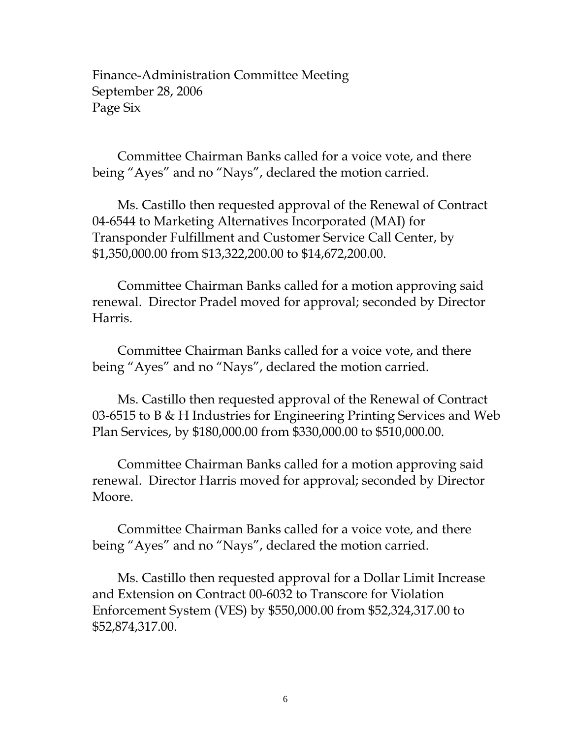Finance-Administration Committee Meeting September 28, 2006 Page Six

 Committee Chairman Banks called for a voice vote, and there being "Ayes" and no "Nays", declared the motion carried.

 Ms. Castillo then requested approval of the Renewal of Contract 04-6544 to Marketing Alternatives Incorporated (MAI) for Transponder Fulfillment and Customer Service Call Center, by \$1,350,000.00 from \$13,322,200.00 to \$14,672,200.00.

 Committee Chairman Banks called for a motion approving said renewal. Director Pradel moved for approval; seconded by Director Harris.

 Committee Chairman Banks called for a voice vote, and there being "Ayes" and no "Nays", declared the motion carried.

 Ms. Castillo then requested approval of the Renewal of Contract 03-6515 to B & H Industries for Engineering Printing Services and Web Plan Services, by \$180,000.00 from \$330,000.00 to \$510,000.00.

 Committee Chairman Banks called for a motion approving said renewal. Director Harris moved for approval; seconded by Director Moore.

 Committee Chairman Banks called for a voice vote, and there being "Ayes" and no "Nays", declared the motion carried.

 Ms. Castillo then requested approval for a Dollar Limit Increase and Extension on Contract 00-6032 to Transcore for Violation Enforcement System (VES) by \$550,000.00 from \$52,324,317.00 to \$52,874,317.00.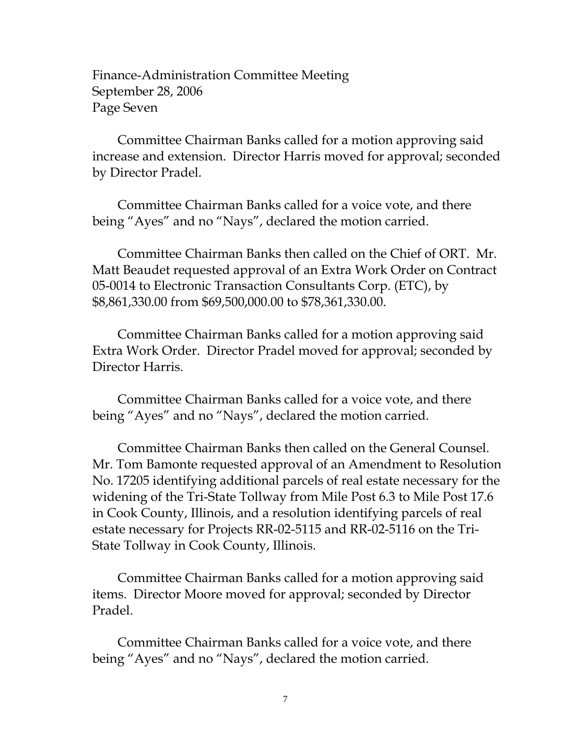Finance-Administration Committee Meeting September 28, 2006 Page Seven

 Committee Chairman Banks called for a motion approving said increase and extension. Director Harris moved for approval; seconded by Director Pradel.

 Committee Chairman Banks called for a voice vote, and there being "Ayes" and no "Nays", declared the motion carried.

 Committee Chairman Banks then called on the Chief of ORT. Mr. Matt Beaudet requested approval of an Extra Work Order on Contract 05-0014 to Electronic Transaction Consultants Corp. (ETC), by \$8,861,330.00 from \$69,500,000.00 to \$78,361,330.00.

 Committee Chairman Banks called for a motion approving said Extra Work Order. Director Pradel moved for approval; seconded by Director Harris.

 Committee Chairman Banks called for a voice vote, and there being "Ayes" and no "Nays", declared the motion carried.

 Committee Chairman Banks then called on the General Counsel. Mr. Tom Bamonte requested approval of an Amendment to Resolution No. 17205 identifying additional parcels of real estate necessary for the widening of the Tri-State Tollway from Mile Post 6.3 to Mile Post 17.6 in Cook County, Illinois, and a resolution identifying parcels of real estate necessary for Projects RR-02-5115 and RR-02-5116 on the Tri-State Tollway in Cook County, Illinois.

 Committee Chairman Banks called for a motion approving said items. Director Moore moved for approval; seconded by Director Pradel.

 Committee Chairman Banks called for a voice vote, and there being "Ayes" and no "Nays", declared the motion carried.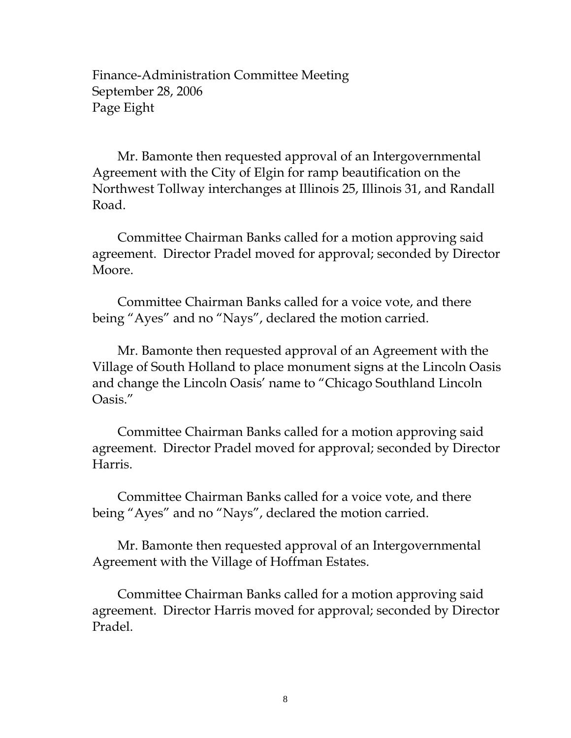Finance-Administration Committee Meeting September 28, 2006 Page Eight

 Mr. Bamonte then requested approval of an Intergovernmental Agreement with the City of Elgin for ramp beautification on the Northwest Tollway interchanges at Illinois 25, Illinois 31, and Randall Road.

 Committee Chairman Banks called for a motion approving said agreement. Director Pradel moved for approval; seconded by Director Moore.

 Committee Chairman Banks called for a voice vote, and there being "Ayes" and no "Nays", declared the motion carried.

 Mr. Bamonte then requested approval of an Agreement with the Village of South Holland to place monument signs at the Lincoln Oasis and change the Lincoln Oasis' name to "Chicago Southland Lincoln Oasis."

 Committee Chairman Banks called for a motion approving said agreement. Director Pradel moved for approval; seconded by Director Harris.

 Committee Chairman Banks called for a voice vote, and there being "Ayes" and no "Nays", declared the motion carried.

 Mr. Bamonte then requested approval of an Intergovernmental Agreement with the Village of Hoffman Estates.

 Committee Chairman Banks called for a motion approving said agreement. Director Harris moved for approval; seconded by Director Pradel.